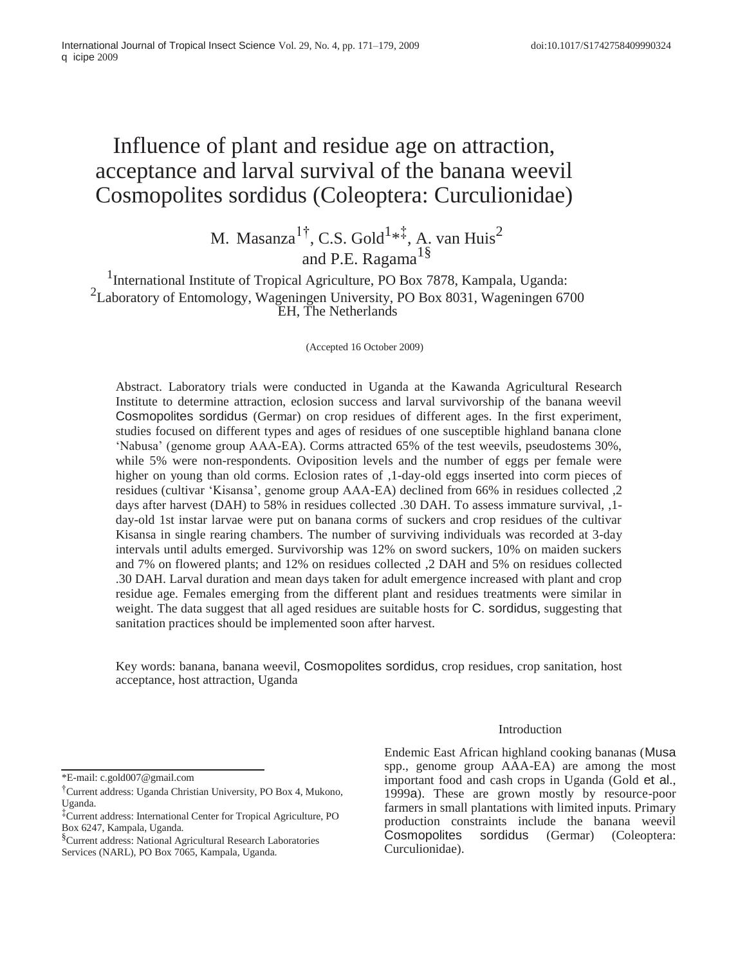# Influence of plant and residue age on attraction, acceptance and larval survival of the banana weevil Cosmopolites sordidus (Coleoptera: Curculionidae)

M. Masanza<sup>1†</sup>, C.S. Gold<sup>1\*‡</sup>, A. van Huis<sup>2</sup> and P.E. Ragama<sup>1§</sup>

<sup>1</sup>International Institute of Tropical Agriculture, PO Box 7878, Kampala, Uganda: <sup>2</sup>Laboratory of Entomology, Wageningen University, PO Box 8031, Wageningen 6700 EH, The Netherlands

(Accepted 16 October 2009)

Abstract. Laboratory trials were conducted in Uganda at the Kawanda Agricultural Research Institute to determine attraction, eclosion success and larval survivorship of the banana weevil Cosmopolites sordidus (Germar) on crop residues of different ages. In the first experiment, studies focused on different types and ages of residues of one susceptible highland banana clone 'Nabusa' (genome group AAA-EA). Corms attracted 65% of the test weevils, pseudostems 30%, while 5% were non-respondents. Oviposition levels and the number of eggs per female were higher on young than old corms. Eclosion rates of ,1-day-old eggs inserted into corm pieces of residues (cultivar 'Kisansa', genome group AAA-EA) declined from 66% in residues collected ,2 days after harvest (DAH) to 58% in residues collected .30 DAH. To assess immature survival, ,1 day-old 1st instar larvae were put on banana corms of suckers and crop residues of the cultivar Kisansa in single rearing chambers. The number of surviving individuals was recorded at 3-day intervals until adults emerged. Survivorship was 12% on sword suckers, 10% on maiden suckers and 7% on flowered plants; and 12% on residues collected ,2 DAH and 5% on residues collected .30 DAH. Larval duration and mean days taken for adult emergence increased with plant and crop residue age. Females emerging from the different plant and residues treatments were similar in weight. The data suggest that all aged residues are suitable hosts for C. sordidus, suggesting that sanitation practices should be implemented soon after harvest.

Key words: banana, banana weevil, Cosmopolites sordidus, crop residues, crop sanitation, host acceptance, host attraction, Uganda

## Introduction

\*E-mail: c.gold007@gmail.com

Endemic East African highland cooking bananas (Musa spp., genome group AAA-EA) are among the most important food and cash crops in Uganda (Gold et al., 1999a). These are grown mostly by resource-poor farmers in small plantations with limited inputs. Primary production constraints include the banana weevil Cosmopolites sordidus (Germar) (Coleoptera: Curculionidae).

<sup>†</sup>Current address: Uganda Christian University, PO Box 4, Mukono, Uganda.

<sup>‡</sup>Current address: International Center for Tropical Agriculture, PO Box 6247, Kampala, Uganda.

<sup>&</sup>lt;sup>§</sup>Current address: National Agricultural Research Laboratories Services (NARL), PO Box 7065, Kampala, Uganda.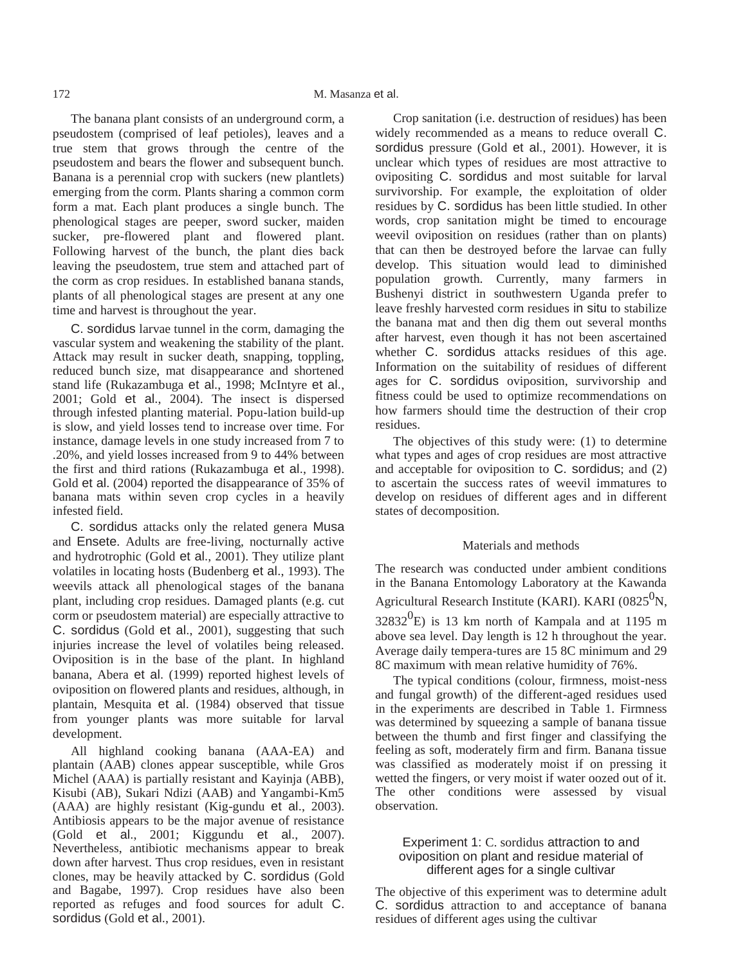The banana plant consists of an underground corm, a pseudostem (comprised of leaf petioles), leaves and a true stem that grows through the centre of the pseudostem and bears the flower and subsequent bunch. Banana is a perennial crop with suckers (new plantlets) emerging from the corm. Plants sharing a common corm form a mat. Each plant produces a single bunch. The phenological stages are peeper, sword sucker, maiden sucker, pre-flowered plant and flowered plant. Following harvest of the bunch, the plant dies back leaving the pseudostem, true stem and attached part of the corm as crop residues. In established banana stands, plants of all phenological stages are present at any one time and harvest is throughout the year.

C. sordidus larvae tunnel in the corm, damaging the vascular system and weakening the stability of the plant. Attack may result in sucker death, snapping, toppling, reduced bunch size, mat disappearance and shortened stand life (Rukazambuga et al., 1998; McIntyre et al., 2001; Gold et al., 2004). The insect is dispersed through infested planting material. Popu-lation build-up is slow, and yield losses tend to increase over time. For instance, damage levels in one study increased from 7 to .20%, and yield losses increased from 9 to 44% between the first and third rations (Rukazambuga et al., 1998). Gold et al. (2004) reported the disappearance of 35% of banana mats within seven crop cycles in a heavily infested field.

C. sordidus attacks only the related genera Musa and Ensete. Adults are free-living, nocturnally active and hydrotrophic (Gold et al., 2001). They utilize plant volatiles in locating hosts (Budenberg et al., 1993). The weevils attack all phenological stages of the banana plant, including crop residues. Damaged plants (e.g. cut corm or pseudostem material) are especially attractive to C. sordidus (Gold et al., 2001), suggesting that such injuries increase the level of volatiles being released. Oviposition is in the base of the plant. In highland banana, Abera et al. (1999) reported highest levels of oviposition on flowered plants and residues, although, in plantain, Mesquita et al. (1984) observed that tissue from younger plants was more suitable for larval development.

All highland cooking banana (AAA-EA) and plantain (AAB) clones appear susceptible, while Gros Michel (AAA) is partially resistant and Kayinja (ABB), Kisubi (AB), Sukari Ndizi (AAB) and Yangambi-Km5 (AAA) are highly resistant (Kig-gundu et al., 2003). Antibiosis appears to be the major avenue of resistance (Gold et al., 2001; Kiggundu et al., 2007). Nevertheless, antibiotic mechanisms appear to break down after harvest. Thus crop residues, even in resistant clones, may be heavily attacked by C. sordidus (Gold and Bagabe, 1997). Crop residues have also been reported as refuges and food sources for adult C. sordidus (Gold et al., 2001).

Crop sanitation (i.e. destruction of residues) has been widely recommended as a means to reduce overall C. sordidus pressure (Gold et al., 2001). However, it is unclear which types of residues are most attractive to ovipositing C. sordidus and most suitable for larval survivorship. For example, the exploitation of older residues by C. sordidus has been little studied. In other words, crop sanitation might be timed to encourage weevil oviposition on residues (rather than on plants) that can then be destroyed before the larvae can fully develop. This situation would lead to diminished population growth. Currently, many farmers in Bushenyi district in southwestern Uganda prefer to leave freshly harvested corm residues in situ to stabilize the banana mat and then dig them out several months after harvest, even though it has not been ascertained whether C. sordidus attacks residues of this age. Information on the suitability of residues of different ages for C. sordidus oviposition, survivorship and fitness could be used to optimize recommendations on how farmers should time the destruction of their crop residues.

The objectives of this study were: (1) to determine what types and ages of crop residues are most attractive and acceptable for oviposition to C. sordidus; and (2) to ascertain the success rates of weevil immatures to develop on residues of different ages and in different states of decomposition.

#### Materials and methods

The research was conducted under ambient conditions in the Banana Entomology Laboratory at the Kawanda Agricultural Research Institute (KARI). KARI (0825 $^{0}$ N,  $32832^0$ E) is 13 km north of Kampala and at 1195 m above sea level. Day length is 12 h throughout the year. Average daily tempera-tures are 15 8C minimum and 29 8C maximum with mean relative humidity of 76%.

The typical conditions (colour, firmness, moist-ness and fungal growth) of the different-aged residues used in the experiments are described in [Table 1. F](#page-2-0)irmness was determined by squeezing a sample of banana tissue between the thumb and first finger and classifying the feeling as soft, moderately firm and firm. Banana tissue was classified as moderately moist if on pressing it wetted the fingers, or very moist if water oozed out of it. The other conditions were assessed by visual observation.

## Experiment 1: C. sordidus attraction to and oviposition on plant and residue material of different ages for a single cultivar

The objective of this experiment was to determine adult C. sordidus attraction to and acceptance of banana residues of different ages using the cultivar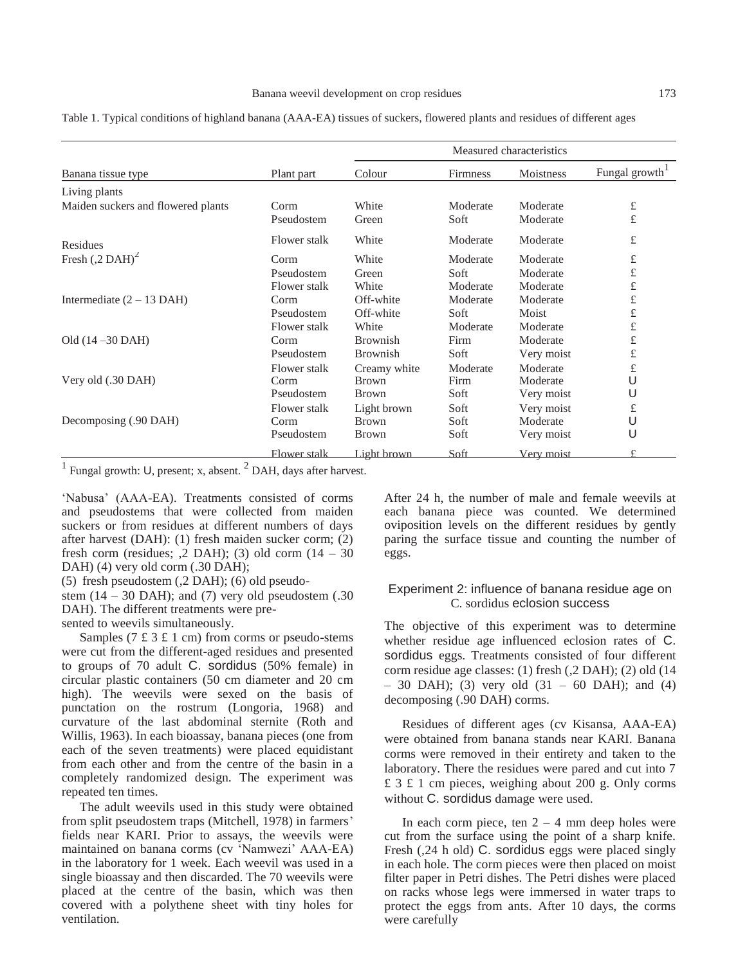<span id="page-2-0"></span>Table 1. Typical conditions of highland banana (AAA-EA) tissues of suckers, flowered plants and residues of different ages

|                                    |              |                 | Measured characteristics |            |               |
|------------------------------------|--------------|-----------------|--------------------------|------------|---------------|
| Banana tissue type                 | Plant part   | Colour          | <b>Firmness</b>          | Moistness  | Fungal growth |
| Living plants                      |              |                 |                          |            |               |
| Maiden suckers and flowered plants | Corm         | White           | Moderate                 | Moderate   | $\pounds$     |
|                                    | Pseudostem   | Green           | Soft                     | Moderate   | £             |
| Residues                           | Flower stalk | White           | Moderate                 | Moderate   | $\pounds$     |
| Fresh $(.2 \text{ DAH})^2$         | Corm         | White           | Moderate                 | Moderate   | $\pounds$     |
|                                    | Pseudostem   | Green           | Soft                     | Moderate   | $\pounds$     |
|                                    | Flower stalk | White           | Moderate                 | Moderate   | $\pounds$     |
| Intermediate $(2 – 13$ DAH)        | Corm         | Off-white       | Moderate                 | Moderate   | $\pounds$     |
|                                    | Pseudostem   | Off-white       | Soft                     | Moist      | $\pounds$     |
|                                    | Flower stalk | White           | Moderate                 | Moderate   | $\pounds$     |
| Old $(14 - 30$ DAH)                | Corm         | <b>Brownish</b> | Firm                     | Moderate   | $\pounds$     |
|                                    | Pseudostem   | <b>Brownish</b> | Soft                     | Very moist | $\pounds$     |
|                                    | Flower stalk | Creamy white    | Moderate                 | Moderate   | $\pounds$     |
| Very old (.30 DAH)                 | Corm         | <b>Brown</b>    | Firm                     | Moderate   | U             |
|                                    | Pseudostem   | <b>Brown</b>    | Soft                     | Very moist | U             |
|                                    | Flower stalk | Light brown     | Soft                     | Very moist | £             |
| Decomposing (.90 DAH)              | Corm         | <b>Brown</b>    | Soft                     | Moderate   | U             |
|                                    | Pseudostem   | <b>Brown</b>    | Soft                     | Very moist | U             |
|                                    | Flower stalk | Light brown     | Soft                     | Very moist |               |

<sup>1</sup> Fungal growth: U, present; x, absent.  $^{2}$  DAH, days after harvest.

'Nabusa' (AAA-EA). Treatments consisted of corms and pseudostems that were collected from maiden suckers or from residues at different numbers of days after harvest (DAH): (1) fresh maiden sucker corm; (2) fresh corm (residues;  $,2$  DAH); (3) old corm (14 – 30) DAH) (4) very old corm (.30 DAH);

(5) fresh pseudostem (,2 DAH); (6) old pseudo-

stem  $(14 – 30$  DAH); and  $(7)$  very old pseudostem  $(.30)$ DAH). The different treatments were pre-

sented to weevils simultaneously.

Samples ( $7 \text{ £} 3 \text{ £} 1 \text{ cm}$ ) from corms or pseudo-stems were cut from the different-aged residues and presented to groups of 70 adult C. sordidus (50% female) in circular plastic containers (50 cm diameter and 20 cm high). The weevils were sexed on the basis of punctation on the rostrum (Longoria, 1968) and curvature of the last abdominal sternite (Roth and Willis, 1963). In each bioassay, banana pieces (one from each of the seven treatments) were placed equidistant from each other and from the centre of the basin in a completely randomized design. The experiment was repeated ten times.

The adult weevils used in this study were obtained from split pseudostem traps (Mitchell, 1978) in farmers' fields near KARI. Prior to assays, the weevils were maintained on banana corms (cv 'Namwezi' AAA-EA) in the laboratory for 1 week. Each weevil was used in a single bioassay and then discarded. The 70 weevils were placed at the centre of the basin, which was then covered with a polythene sheet with tiny holes for ventilation.

After 24 h, the number of male and female weevils at each banana piece was counted. We determined oviposition levels on the different residues by gently paring the surface tissue and counting the number of eggs.

### Experiment 2: influence of banana residue age on C. sordidus eclosion success

The objective of this experiment was to determine whether residue age influenced eclosion rates of C. sordidus eggs. Treatments consisted of four different corm residue age classes: (1) fresh (,2 DAH); (2) old (14  $-$  30 DAH); (3) very old (31 – 60 DAH); and (4) decomposing (.90 DAH) corms.

Residues of different ages (cv Kisansa, AAA-EA) were obtained from banana stands near KARI. Banana corms were removed in their entirety and taken to the laboratory. There the residues were pared and cut into 7 £ 3 £ 1 cm pieces, weighing about 200 g. Only corms without C. sordidus damage were used.

In each corm piece, ten  $2 - 4$  mm deep holes were cut from the surface using the point of a sharp knife. Fresh (,24 h old) C. sordidus eggs were placed singly in each hole. The corm pieces were then placed on moist filter paper in Petri dishes. The Petri dishes were placed on racks whose legs were immersed in water traps to protect the eggs from ants. After 10 days, the corms were carefully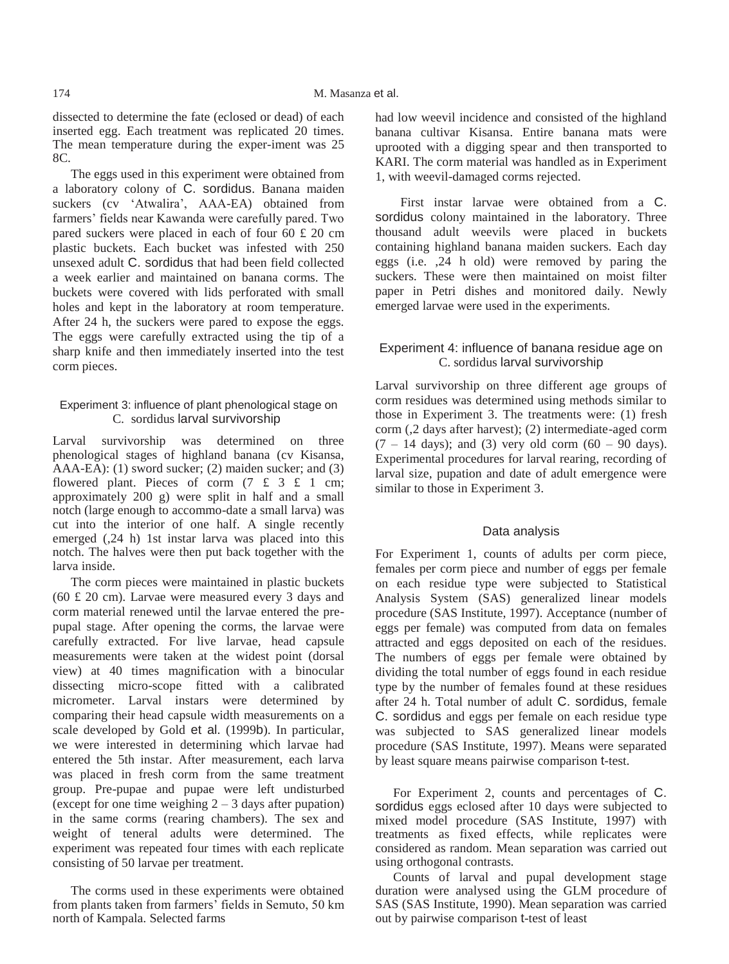dissected to determine the fate (eclosed or dead) of each inserted egg. Each treatment was replicated 20 times. The mean temperature during the exper-iment was 25 8C.

The eggs used in this experiment were obtained from a laboratory colony of C. sordidus. Banana maiden suckers (cv 'Atwalira', AAA-EA) obtained from farmers' fields near Kawanda were carefully pared. Two pared suckers were placed in each of four 60 £ 20 cm plastic buckets. Each bucket was infested with 250 unsexed adult C. sordidus that had been field collected a week earlier and maintained on banana corms. The buckets were covered with lids perforated with small holes and kept in the laboratory at room temperature. After 24 h, the suckers were pared to expose the eggs. The eggs were carefully extracted using the tip of a sharp knife and then immediately inserted into the test corm pieces.

# Experiment 3: influence of plant phenological stage on C. sordidus larval survivorship

Larval survivorship was determined on three phenological stages of highland banana (cv Kisansa, AAA-EA): (1) sword sucker; (2) maiden sucker; and (3) flowered plant. Pieces of corm  $(7 \text{ f } 3 \text{ f } 1 \text{ cm};$ approximately 200 g) were split in half and a small notch (large enough to accommo-date a small larva) was cut into the interior of one half. A single recently emerged (,24 h) 1st instar larva was placed into this notch. The halves were then put back together with the larva inside.

The corm pieces were maintained in plastic buckets (60 £ 20 cm). Larvae were measured every 3 days and corm material renewed until the larvae entered the prepupal stage. After opening the corms, the larvae were carefully extracted. For live larvae, head capsule measurements were taken at the widest point (dorsal view) at 40 times magnification with a binocular dissecting micro-scope fitted with a calibrated micrometer. Larval instars were determined by comparing their head capsule width measurements on a scale developed by Gold et al. (1999b). In particular, we were interested in determining which larvae had entered the 5th instar. After measurement, each larva was placed in fresh corm from the same treatment group. Pre-pupae and pupae were left undisturbed (except for one time weighing  $2 - 3$  days after pupation) in the same corms (rearing chambers). The sex and weight of teneral adults were determined. The experiment was repeated four times with each replicate consisting of 50 larvae per treatment.

The corms used in these experiments were obtained from plants taken from farmers' fields in Semuto, 50 km north of Kampala. Selected farms

had low weevil incidence and consisted of the highland banana cultivar Kisansa. Entire banana mats were uprooted with a digging spear and then transported to KARI. The corm material was handled as in Experiment 1, with weevil-damaged corms rejected.

First instar larvae were obtained from a C. sordidus colony maintained in the laboratory. Three thousand adult weevils were placed in buckets containing highland banana maiden suckers. Each day eggs (i.e. ,24 h old) were removed by paring the suckers. These were then maintained on moist filter paper in Petri dishes and monitored daily. Newly emerged larvae were used in the experiments.

# Experiment 4: influence of banana residue age on C. sordidus larval survivorship

Larval survivorship on three different age groups of corm residues was determined using methods similar to those in Experiment 3. The treatments were: (1) fresh corm (,2 days after harvest); (2) intermediate-aged corm  $(7 - 14 \text{ days})$ ; and (3) very old corm  $(60 - 90 \text{ days})$ . Experimental procedures for larval rearing, recording of larval size, pupation and date of adult emergence were similar to those in Experiment 3.

# Data analysis

For Experiment 1, counts of adults per corm piece, females per corm piece and number of eggs per female on each residue type were subjected to Statistical Analysis System (SAS) generalized linear models procedure (SAS Institute, 1997). Acceptance (number of eggs per female) was computed from data on females attracted and eggs deposited on each of the residues. The numbers of eggs per female were obtained by dividing the total number of eggs found in each residue type by the number of females found at these residues after 24 h. Total number of adult C. sordidus, female C. sordidus and eggs per female on each residue type was subjected to SAS generalized linear models procedure (SAS Institute, 1997). Means were separated by least square means pairwise comparison t-test.

For Experiment 2, counts and percentages of C. sordidus eggs eclosed after 10 days were subjected to mixed model procedure (SAS Institute, 1997) with treatments as fixed effects, while replicates were considered as random. Mean separation was carried out using orthogonal contrasts.

Counts of larval and pupal development stage duration were analysed using the GLM procedure of SAS (SAS Institute, 1990). Mean separation was carried out by pairwise comparison t-test of least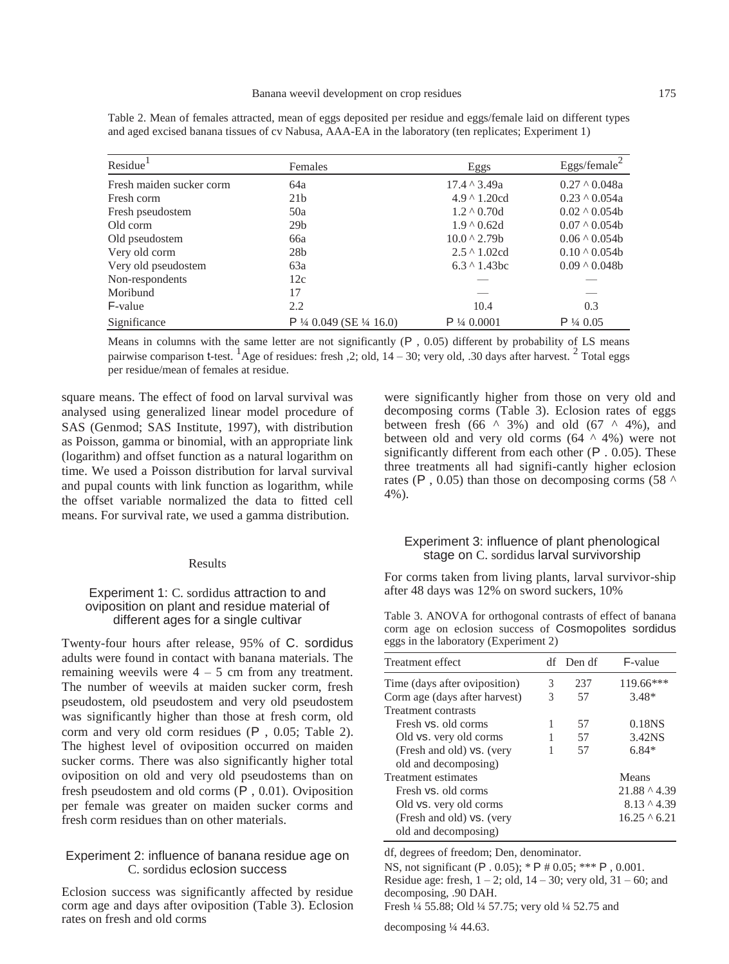| Residue <sup>1</sup>     | Females                 | Eggs                 | Eggs/female $^2$    |
|--------------------------|-------------------------|----------------------|---------------------|
| Fresh maiden sucker corm | 64a                     | $17.4 \land 3.49a$   | $0.27 \land 0.048a$ |
| Fresh corm               | 21 <sub>b</sub>         | $4.9 \land 1.20cd$   | $0.23 \land 0.054a$ |
| Fresh pseudostem         | 50a                     | $1.2 \land 0.70d$    | $0.02 \land 0.054b$ |
| Old corm                 | 29 <sub>b</sub>         | $1.9 \land 0.62d$    | $0.07 \land 0.054b$ |
| Old pseudostem           | 66a                     | $10.0 \land 2.79b$   | $0.06 \land 0.054b$ |
| Very old corm            | 28 <sub>b</sub>         | $2.5 \land 1.02cd$   | $0.10 \land 0.054b$ |
| Very old pseudostem      | 63a                     | $6.3 \land 1.43$ bc  | $0.09 \land 0.048b$ |
| Non-respondents          | 12c                     |                      |                     |
| Moribund                 | 17                      |                      |                     |
| F-value                  | 2.2                     | 10.4                 | 0.3                 |
| Significance             | $P$ ¼ 0.049 (SE ¼ 16.0) | $P\frac{1}{4}0.0001$ | $P\frac{1}{4}0.05$  |

<span id="page-4-0"></span>Table 2. Mean of females attracted, mean of eggs deposited per residue and eggs/female laid on different types and aged excised banana tissues of cv Nabusa, AAA-EA in the laboratory (ten replicates; Experiment 1)

Means in columns with the same letter are not significantly (P , 0.05) different by probability of LS means pairwise comparison t-test. <sup>1</sup>Age of residues: fresh  $\alpha$ , 2; old, 14 – 30; very old,  $\alpha$  30 days after harvest. <sup>2</sup> Total eggs per residue/mean of females at residue.

square means. The effect of food on larval survival was analysed using generalized linear model procedure of SAS (Genmod; SAS Institute, 1997), with distribution as Poisson, gamma or binomial, with an appropriate link (logarithm) and offset function as a natural logarithm on time. We used a Poisson distribution for larval survival and pupal counts with link function as logarithm, while the offset variable normalized the data to fitted cell means. For survival rate, we used a gamma distribution.

#### Results

## Experiment 1: C. sordidus attraction to and oviposition on plant and residue material of different ages for a single cultivar

Twenty-four hours after release, 95% of C. sordidus adults were found in contact with banana materials. The remaining weevils were  $4 - 5$  cm from any treatment. The number of weevils at maiden sucker corm, fresh pseudostem, old pseudostem and very old pseudostem was significantly higher than those at fresh corm, old corm and very old corm residues (P , 0.05; [Table 2](#page-4-0)). The highest level of oviposition occurred on maiden sucker corms. There was also significantly higher total oviposition on old and very old pseudostems than on fresh pseudostem and old corms (P, 0.01). Oviposition per female was greater on maiden sucker corms and fresh corm residues than on other materials.

## Experiment 2: influence of banana residue age on C. sordidus eclosion success

Eclosion success was significantly affected by residue corm age and days after oviposition [\(Table 3\).](#page-4-0) Eclosion rates on fresh and old corms

were significantly higher from those on very old and decomposing corms [\(Table 3](#page-4-0)). Eclosion rates of eggs between fresh (66  $\land$  3%) and old (67  $\land$  4%), and between old and very old corms  $(64 \land 4\%)$  were not significantly different from each other (P, 0.05). These three treatments all had signifi-cantly higher eclosion rates (P, 0.05) than those on decomposing corms (58  $\triangle$ 4%).

#### Experiment 3: influence of plant phenological stage on C. sordidus larval survivorship

For corms taken from living plants, larval survivor-ship after 48 days was 12% on sword suckers, 10%

Table 3. ANOVA for orthogonal contrasts of effect of banana corm age on eclosion success of Cosmopolites sordidus eggs in the laboratory (Experiment 2)

| Treatment effect              |   | df Den df | F-value            |
|-------------------------------|---|-----------|--------------------|
| Time (days after oviposition) | 3 | 237       | $119.66***$        |
| Corm age (days after harvest) | 3 | 57        | $3.48*$            |
| Treatment contrasts           |   |           |                    |
| Fresh vs. old corms           | 1 | 57        | 0.18 <sub>NS</sub> |
| Old vs. very old corms        |   | 57        | 3.42NS             |
| (Fresh and old) vs. (very     |   | 57        | $6.84*$            |
| old and decomposing)          |   |           |                    |
| Treatment estimates           |   |           | Means              |
| Fresh vs. old corms           |   |           | $21.88 \land 4.39$ |
| Old vs. very old corms        |   |           | $8.13 \land 4.39$  |
| (Fresh and old) vs. (very     |   |           | $16.25 \land 6.21$ |
| old and decomposing)          |   |           |                    |

df, degrees of freedom; Den, denominator.

NS, not significant (P . 0.05); \* P # 0.05; \*\*\* P , 0.001.

Residue age: fresh,  $1 - 2$ ; old,  $14 - 30$ ; very old,  $31 - 60$ ; and decomposing, .90 DAH.

Fresh ¼ 55.88; Old ¼ 57.75; very old ¼ 52.75 and

decomposing ¼ 44.63.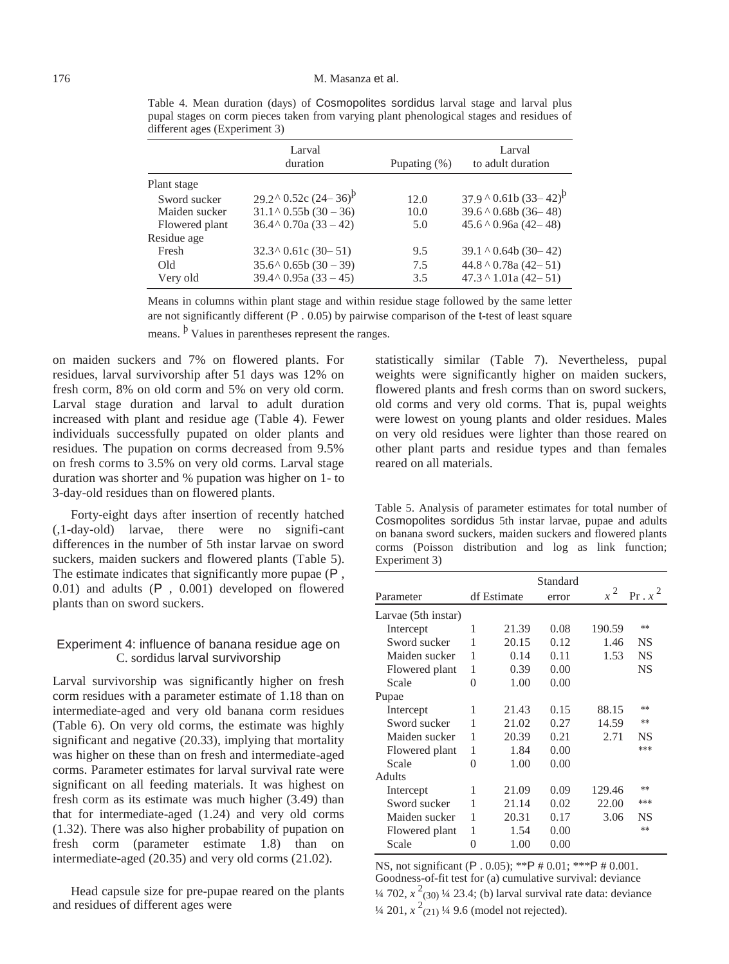| Larval<br>duration            | Pupating $(\%)$                        | Larval<br>to adult duration  |
|-------------------------------|----------------------------------------|------------------------------|
|                               |                                        |                              |
|                               | 12.0                                   | $37.9 \times 0.61b(33-42)^p$ |
| $31.1 \land 0.55b(30-36)$     | 10.0                                   | $39.6 \land 0.68b(36-48)$    |
| $36.4 \land 0.70a(33 - 42)$   | 5.0                                    | $45.6 \land 0.96a (42 - 48)$ |
|                               |                                        |                              |
| $32.3 \times 0.61c (30 - 51)$ | 9.5                                    | $39.1 \land 0.64b(30-42)$    |
| $35.6 \land 0.65b(30-39)$     | 7.5                                    | $44.8 \land 0.78a (42 - 51)$ |
| $39.4 \land 0.95a(33 - 45)$   | 3.5                                    | $47.3 \land 1.01a (42 - 51)$ |
|                               | $29.2^{\circ}$ 0.52c $(24-36)^{\circ}$ |                              |

<span id="page-5-0"></span>Table 4. Mean duration (days) of Cosmopolites sordidus larval stage and larval plus pupal stages on corm pieces taken from varying plant phenological stages and residues of different ages (Experiment 3)

Means in columns within plant stage and within residue stage followed by the same letter are not significantly different  $(P. 0.05)$  by pairwise comparison of the t-test of least square means. <sup>b</sup> Values in parentheses represent the ranges.

on maiden suckers and 7% on flowered plants. For residues, larval survivorship after 51 days was 12% on fresh corm, 8% on old corm and 5% on very old corm. Larval stage duration and larval to adult duration increased with plant and residue age [\(Table 4](#page-5-0)). Fewer individuals successfully pupated on older plants and residues. The pupation on corms decreased from 9.5% on fresh corms to 3.5% on very old corms. Larval stage duration was shorter and % pupation was higher on 1- to 3-day-old residues than on flowered plants.

Forty-eight days after insertion of recently hatched (,1-day-old) larvae, there were no signifi-cant differences in the number of 5th instar larvae on sword suckers, maiden suckers and flowered plants [\(Table 5](#page-5-0)). The estimate indicates that significantly more pupae (P , 0.01) and adults (P , 0.001) developed on flowered plants than on sword suckers.

# Experiment 4: influence of banana residue age on C. sordidus larval survivorship

Larval survivorship was significantly higher on fresh corm residues with a parameter estimate of 1.18 than on intermediate-aged and very old banana corm residues [\(Table 6](#page-6-0)). On very old corms, the estimate was highly significant and negative (20.33), implying that mortality was higher on these than on fresh and intermediate-aged corms. Parameter estimates for larval survival rate were significant on all feeding materials. It was highest on fresh corm as its estimate was much higher (3.49) than that for intermediate-aged (1.24) and very old corms (1.32). There was also higher probability of pupation on fresh corm (parameter estimate 1.8) than on intermediate-aged (20.35) and very old corms (21.02).

Head capsule size for pre-pupae reared on the plants and residues of different ages were

statistically similar [\(Table 7](#page-6-0)). Nevertheless, pupal weights were significantly higher on maiden suckers, flowered plants and fresh corms than on sword suckers, old corms and very old corms. That is, pupal weights were lowest on young plants and older residues. Males on very old residues were lighter than those reared on other plant parts and residue types and than females reared on all materials.

Table 5. Analysis of parameter estimates for total number of Cosmopolites sordidus 5th instar larvae, pupae and adults on banana sword suckers, maiden suckers and flowered plants corms (Poisson distribution and log as link function; Experiment 3)

|                     |   |             | Standard |        |           |
|---------------------|---|-------------|----------|--------|-----------|
| Parameter           |   | df Estimate | error    | $x^2$  | $Pr.x^2$  |
| Larvae (5th instar) |   |             |          |        |           |
| Intercept           | 1 | 21.39       | 0.08     | 190.59 | **        |
| Sword sucker        | 1 | 20.15       | 0.12     | 1.46   | NS        |
| Maiden sucker       | 1 | 0.14        | 0.11     | 1.53   | <b>NS</b> |
| Flowered plant      | 1 | 0.39        | 0.00     |        | <b>NS</b> |
| Scale               | 0 | 1.00        | 0.00     |        |           |
| Pupae               |   |             |          |        |           |
| Intercept           | 1 | 21.43       | 0.15     | 88.15  | $**$      |
| Sword sucker        | 1 | 21.02       | 0.27     | 14.59  | **        |
| Maiden sucker       | 1 | 20.39       | 0.21     | 2.71   | NS        |
| Flowered plant      | 1 | 1.84        | 0.00     |        | ***       |
| Scale               | 0 | 1.00        | 0.00     |        |           |
| <b>Adults</b>       |   |             |          |        |           |
| Intercept           | 1 | 21.09       | 0.09     | 129.46 | $**$      |
| Sword sucker        | 1 | 21.14       | 0.02     | 22.00  | ***       |
| Maiden sucker       | 1 | 20.31       | 0.17     | 3.06   | NS        |
| Flowered plant      | 1 | 1.54        | 0.00     |        | **        |
| Scale               | 0 | 1.00        | 0.00     |        |           |

NS, not significant (P . 0.05); \*\*P # 0.01; \*\*\*P # 0.001. Goodness-of-fit test for (a) cumulative survival: deviance  $\frac{1}{4}$  702,  $x^2$ <sub>(30)</sub>  $\frac{1}{4}$  23.4; (b) larval survival rate data: deviance  $\frac{1}{4}$  201,  $x^2$ (21)  $\frac{1}{4}$  9.6 (model not rejected).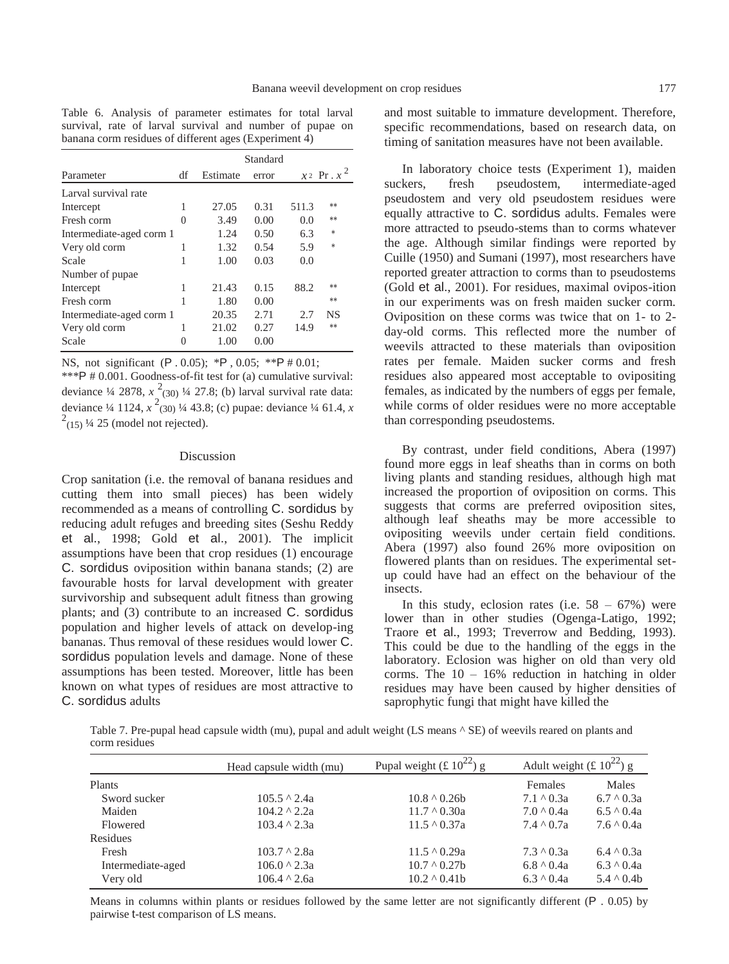Table 6. Analysis of parameter estimates for total larval survival, rate of larval survival and number of pupae on banana corm residues of different ages (Experiment  $\overline{4}$ )

|                          |    | Standard |       |       |                 |
|--------------------------|----|----------|-------|-------|-----------------|
| Parameter                | df | Estimate | error |       | $x^2$ Pr. $x^2$ |
| Larval survival rate     |    |          |       |       |                 |
| Intercept                | 1  | 27.05    | 0.31  | 511.3 | **              |
| Fresh corm               | 0  | 3.49     | 0.00  | 0.0   | **              |
| Intermediate-aged corm 1 |    | 1.24     | 0.50  | 6.3   | $\ast$          |
| Very old corm            | 1  | 1.32     | 0.54  | 5.9   | $\ast$          |
| Scale                    | 1  | 1.00     | 0.03  | 0.0   |                 |
| Number of pupae          |    |          |       |       |                 |
| Intercept                | 1  | 21.43    | 0.15  | 88.2  | **              |
| Fresh corm               |    | 1.80     | 0.00  |       | **              |
| Intermediate-aged corm 1 |    | 20.35    | 2.71  | 2.7   | <b>NS</b>       |
| Very old corm            |    | 21.02    | 0.27  | 14.9  | **              |
| Scale                    | 0  | 1.00     | 0.00  |       |                 |

NS, not significant (P . 0.05); \*P , 0.05; \*\*P # 0.01; \*\*\*P # 0.001. Goodness-of-fit test for (a) cumulative survival: deviance  $\frac{1}{4}$  2878,  $x^2$ (30)  $\frac{1}{4}$  27.8; (b) larval survival rate data: deviance ¼ 1124, *x* 2 (30) ¼ 43.8; (c) pupae: deviance ¼ 61.4, *x*  $2(15)$  ¼ 25 (model not rejected).

#### Discussion

Crop sanitation (i.e. the removal of banana residues and cutting them into small pieces) has been widely recommended as a means of controlling C. sordidus by reducing adult refuges and breeding sites (Seshu Reddy et al., 1998; Gold et al., 2001). The implicit assumptions have been that crop residues (1) encourage C. sordidus oviposition within banana stands; (2) are favourable hosts for larval development with greater survivorship and subsequent adult fitness than growing plants; and (3) contribute to an increased C. sordidus population and higher levels of attack on develop-ing bananas. Thus removal of these residues would lower C. sordidus population levels and damage. None of these assumptions has been tested. Moreover, little has been known on what types of residues are most attractive to C. sordidus adults

<span id="page-6-0"></span>and most suitable to immature development. Therefore, specific recommendations, based on research data, on timing of sanitation measures have not been available.

In laboratory choice tests (Experiment 1), maiden suckers, fresh pseudostem, intermediate-aged pseudostem and very old pseudostem residues were equally attractive to C. sordidus adults. Females were more attracted to pseudo-stems than to corms whatever the age. Although similar findings were reported by Cuille (1950) and Sumani (1997), most researchers have reported greater attraction to corms than to pseudostems (Gold et al., 2001). For residues, maximal ovipos-ition in our experiments was on fresh maiden sucker corm. Oviposition on these corms was twice that on 1- to 2 day-old corms. This reflected more the number of weevils attracted to these materials than oviposition rates per female. Maiden sucker corms and fresh residues also appeared most acceptable to ovipositing females, as indicated by the numbers of eggs per female, while corms of older residues were no more acceptable than corresponding pseudostems.

By contrast, under field conditions, Abera (1997) found more eggs in leaf sheaths than in corms on both living plants and standing residues, although high mat increased the proportion of oviposition on corms. This suggests that corms are preferred oviposition sites, although leaf sheaths may be more accessible to ovipositing weevils under certain field conditions. Abera (1997) also found 26% more oviposition on flowered plants than on residues. The experimental setup could have had an effect on the behaviour of the insects.

In this study, eclosion rates (i.e.  $58 - 67\%$ ) were lower than in other studies (Ogenga-Latigo, 1992; Traore et al., 1993; Treverrow and Bedding, 1993). This could be due to the handling of the eggs in the laboratory. Eclosion was higher on old than very old corms. The  $10 - 16\%$  reduction in hatching in older residues may have been caused by higher densities of saprophytic fungi that might have killed the

Table 7. Pre-pupal head capsule width (mu), pupal and adult weight (LS means  $\wedge$  SE) of weevils reared on plants and corm residues

|                   | Head capsule width (mu) | Pupal weight (£ $10^{22}$ ) g | Adult weight (£ $10^{22}$ ) g |                  |
|-------------------|-------------------------|-------------------------------|-------------------------------|------------------|
| <b>Plants</b>     |                         |                               | Females                       | Males            |
| Sword sucker      | $105.5 \land 2.4a$      | $10.8 \land 0.26$             | $7.1 \land 0.3a$              | $6.7 \land 0.3a$ |
| Maiden            | $104.2 \land 2.2a$      | $11.7 \land 0.30a$            | $7.0 \land 0.4a$              | $6.5 \land 0.4a$ |
| Flowered          | $103.4 \land 2.3a$      | $11.5 \land 0.37a$            | $7.4 \land 0.7a$              | $7.6 \land 0.4a$ |
| Residues          |                         |                               |                               |                  |
| Fresh             | $103.7 \land 2.8a$      | $11.5 \land 0.29a$            | $7.3 \land 0.3a$              | $6.4 \land 0.3a$ |
| Intermediate-aged | $106.0 \land 2.3a$      | $10.7 \land 0.27$ b           | $6.8 \land 0.4a$              | $6.3 \land 0.4a$ |
| Very old          | $106.4 \land 2.6a$      | $10.2 \land 0.41$             | $6.3 \land 0.4a$              | $5.4 \land 0.4b$ |

Means in columns within plants or residues followed by the same letter are not significantly different (P . 0.05) by pairwise t-test comparison of LS means.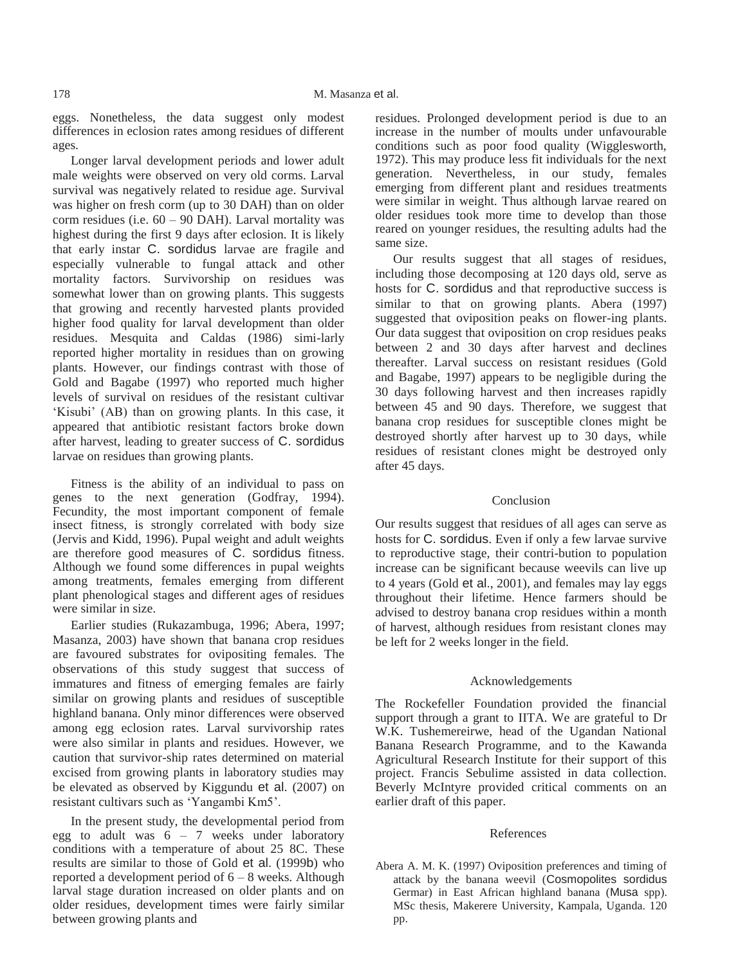eggs. Nonetheless, the data suggest only modest differences in eclosion rates among residues of different ages.

Longer larval development periods and lower adult male weights were observed on very old corms. Larval survival was negatively related to residue age. Survival was higher on fresh corm (up to 30 DAH) than on older corm residues (i.e.  $60 - 90$  DAH). Larval mortality was highest during the first 9 days after eclosion. It is likely that early instar C. sordidus larvae are fragile and especially vulnerable to fungal attack and other mortality factors. Survivorship on residues was somewhat lower than on growing plants. This suggests that growing and recently harvested plants provided higher food quality for larval development than older residues. Mesquita and Caldas (1986) simi-larly reported higher mortality in residues than on growing plants. However, our findings contrast with those of Gold and Bagabe (1997) who reported much higher levels of survival on residues of the resistant cultivar 'Kisubi' (AB) than on growing plants. In this case, it appeared that antibiotic resistant factors broke down after harvest, leading to greater success of C. sordidus larvae on residues than growing plants.

Fitness is the ability of an individual to pass on genes to the next generation (Godfray, 1994). Fecundity, the most important component of female insect fitness, is strongly correlated with body size (Jervis and Kidd, 1996). Pupal weight and adult weights are therefore good measures of C. sordidus fitness. Although we found some differences in pupal weights among treatments, females emerging from different plant phenological stages and different ages of residues were similar in size.

Earlier studies (Rukazambuga, 1996; Abera, 1997; Masanza, 2003) have shown that banana crop residues are favoured substrates for ovipositing females. The observations of this study suggest that success of immatures and fitness of emerging females are fairly similar on growing plants and residues of susceptible highland banana. Only minor differences were observed among egg eclosion rates. Larval survivorship rates were also similar in plants and residues. However, we caution that survivor-ship rates determined on material excised from growing plants in laboratory studies may be elevated as observed by Kiggundu et al. (2007) on resistant cultivars such as 'Yangambi Km5'.

In the present study, the developmental period from egg to adult was  $6 - 7$  weeks under laboratory conditions with a temperature of about 25 8C. These results are similar to those of Gold et al. (1999b) who reported a development period of  $6 - 8$  weeks. Although larval stage duration increased on older plants and on older residues, development times were fairly similar between growing plants and

residues. Prolonged development period is due to an increase in the number of moults under unfavourable conditions such as poor food quality (Wigglesworth, 1972). This may produce less fit individuals for the next generation. Nevertheless, in our study, females emerging from different plant and residues treatments were similar in weight. Thus although larvae reared on older residues took more time to develop than those reared on younger residues, the resulting adults had the same size.

Our results suggest that all stages of residues, including those decomposing at 120 days old, serve as hosts for C. sordidus and that reproductive success is similar to that on growing plants. Abera (1997) suggested that oviposition peaks on flower-ing plants. Our data suggest that oviposition on crop residues peaks between 2 and 30 days after harvest and declines thereafter. Larval success on resistant residues (Gold and Bagabe, 1997) appears to be negligible during the 30 days following harvest and then increases rapidly between 45 and 90 days. Therefore, we suggest that banana crop residues for susceptible clones might be destroyed shortly after harvest up to 30 days, while residues of resistant clones might be destroyed only after 45 days.

## Conclusion

Our results suggest that residues of all ages can serve as hosts for C. sordidus. Even if only a few larvae survive to reproductive stage, their contri-bution to population increase can be significant because weevils can live up to 4 years (Gold et al., 2001), and females may lay eggs throughout their lifetime. Hence farmers should be advised to destroy banana crop residues within a month of harvest, although residues from resistant clones may be left for 2 weeks longer in the field.

#### Acknowledgements

The Rockefeller Foundation provided the financial support through a grant to IITA. We are grateful to Dr W.K. Tushemereirwe, head of the Ugandan National Banana Research Programme, and to the Kawanda Agricultural Research Institute for their support of this project. Francis Sebulime assisted in data collection. Beverly McIntyre provided critical comments on an earlier draft of this paper.

#### References

Abera A. M. K. (1997) Oviposition preferences and timing of attack by the banana weevil (Cosmopolites sordidus Germar) in East African highland banana (Musa spp). MSc thesis, Makerere University, Kampala, Uganda. 120 pp.